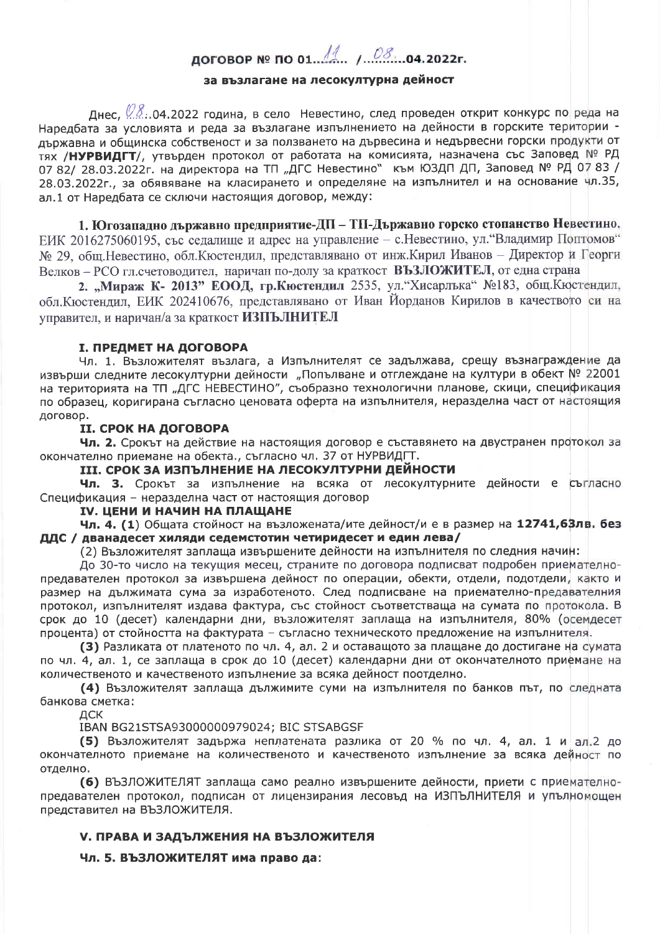# договор № по 01. 1. 1.08. 04.2022г.

#### за възлагане на лесокултурна дейност

Днес,  $\mathscr{Q}S$ . 04.2022 година, в село Невестино, след проведен открит конкурс по реда на Наредбата за условията и реда за възлагане изпълнението на дейности в горските територии държавна и общинска собственост и за ползването на дървесина и недървесни горски продукти от тях /НУРВИДГТ/, утвърден протокол от работата на комисията, назначена със Заповед № РД 07 82/ 28.03.2022г. на директора на ТП "ДГС Невестино" към ЮЗДП ДП, Заповед № РД 07 83 / 28.03.2022г., за обявяване на класирането и определяне на изпълнител и на основание чл.35, ал.1 от Наредбата се сключи настоящия договор, между:

1. Югозападно държавно предприятие-ДП – ТП-Държавно горско стопанство Невестино, ЕИК 2016275060195, със седалище и адрес на управление - с. Невестино, ул. "Владимир Поптомов" № 29, общ. Невестино, обл. Кюстендил, представлявано от инж. Кирил Иванов - Директор и Георги Велков - РСО гл. счетоводител, наричан по-долу за краткост ВЪЗЛОЖИТЕЛ, от една страна

2. "Мираж К- 2013" ЕООД, гр.Кюстендил 2535, ул."Хисарлъка" №183, общ.Кюстендил, обл. Кюстендил, ЕИК 202410676, представлявано от Иван Йорданов Кирилов в качеството си на управител, и наричан/а за краткост ИЗПЪЛНИТЕЛ

#### **I. ПРЕДМЕТ НА ДОГОВОРА**

Чл. 1. Възложителят възлага, а Изпълнителят се задължава, срещу възнаграждение да извърши следните лесокултурни дейности "Попълване и отглеждане на култури в обект № 22001 на територията на ТП "ДГС НЕВЕСТИНО", съобразно технологични планове, скици, спецификация по образец, коригирана съгласно ценовата оферта на изпълнителя, неразделна част от настоящия договор.

#### **II. СРОК НА ДОГОВОРА**

Чл. 2. Срокът на действие на настоящия договор е съставянето на двустранен протокол за окончателно приемане на обекта., съгласно чл. 37 от НУРВИДГТ.

III. СРОК ЗА ИЗПЪЛНЕНИЕ НА ЛЕСОКУЛТУРНИ ДЕЙНОСТИ

Чл. 3. Срокът за изпълнение на всяка от лесокултурните дейности е съгласно Спецификация - неразделна част от настоящия договор

#### **IV. ЦЕНИ И НАЧИН НА ПЛАЩАНЕ**

Чл. 4. (1) Общата стойност на възложената/ите дейност/и е в размер на 12741,63лв. без ДДС / дванадесет хиляди седемстотин четиридесет и един лева/

(2) Възложителят заплаща извършените дейности на изпълнителя по следния начин:

До 30-то число на текущия месец, страните по договора подписват подробен приемателнопредавателен протокол за извършена дейност по операции, обекти, отдели, подотдели, както и размер на дължимата сума за изработеното. След подписване на приемателно-предавателния протокол, изпълнителят издава фактура, със стойност съответстваща на сумата по протокола. В срок до 10 (десет) календарни дни, възложителят заплаща на изпълнителя, 80% (осемдесет процента) от стойността на фактурата - съгласно техническото предложение на изпълнителя.

(3) Разликата от платеното по чл. 4, ал. 2 и оставащото за плащане до достигане на сумата по чл. 4, ал. 1, се заплаща в срок до 10 (десет) календарни дни от окончателното приемане на количественото и качественото изпълнение за всяка дейност поотделно.

(4) Възложителят заплаща дължимите суми на изпълнителя по банков път, по следната банкова сметка:

ДСК

IBAN BG21STSA93000000979024; BIC STSABGSF

(5) Възложителят задържа неплатената разлика от 20 % по чл. 4, ал. 1 и ал. 2 до окончателното приемане на количественото и качественото изпълнение за всяка дейност по отделно.

(6) ВЪЗЛОЖИТЕЛЯТ заплаща само реално извършените дейности, приети с приемателнопредавателен протокол, подписан от лицензирания лесовъд на ИЗПЪЛНИТЕЛЯ и упълномощен представител на ВЪЗЛОЖИТЕЛЯ.

#### **V. ПРАВА И ЗАДЪЛЖЕНИЯ НА ВЪЗЛОЖИТЕЛЯ**

Чл. 5. ВЪЗЛОЖИТЕЛЯТ има право да: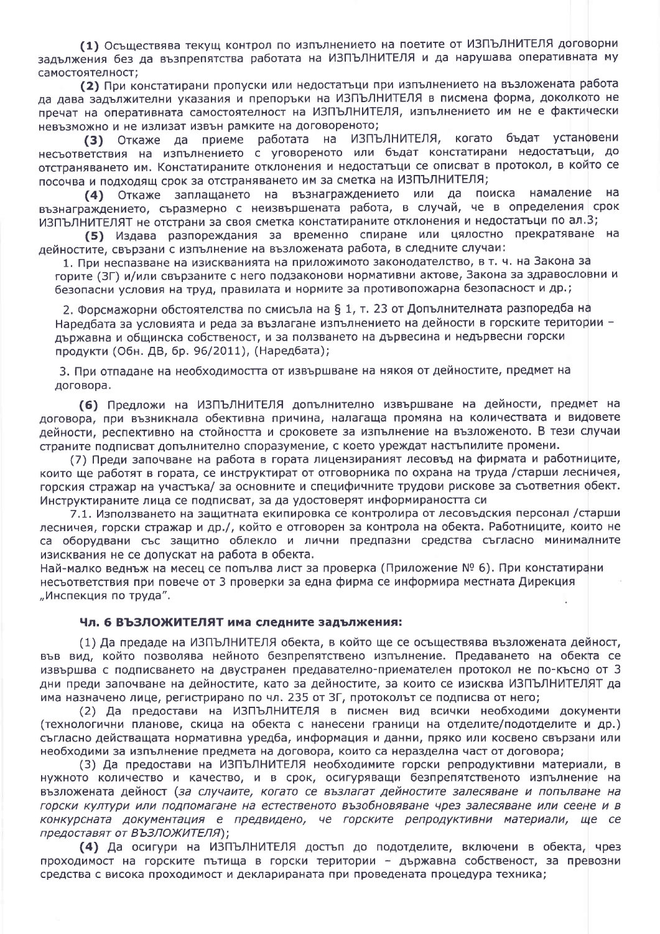(1) Осъществява текущ контрол по изпълнението на поетите от ИЗПЪЛНИТЕЛЯ договорни задължения без да възпрепятства работата на ИЗПЪЛНИТЕЛЯ и да нарушава оперативната му самостоятелност:

(2) При констатирани пропуски или недостатъци при изпълнението на възложената работа да дава задължителни указания и препоръки на ИЗПЪЛНИТЕЛЯ в писмена форма, доколкото не пречат на оперативната самостоятелност на ИЗПЪЛНИТЕЛЯ, изпълнението им не е фактически невъзможно и не излизат извън рамките на договореното;

(3) Откаже да приеме работата на ИЗПЪЛНИТЕЛЯ, когато бъдат установени несъответствия на изпълнението с уговореното или бъдат констатирани недостатъци, до отстраняването им. Констатираните отклонения и недостатъци се описват в протокол, в който се посочва и подходящ срок за отстраняването им за сметка на ИЗПЪЛНИТЕЛЯ;

(4) Откаже заплащането на възнаграждението или да поиска намаление на възнаграждението, съразмерно с неизвършената работа, в случай, че в определения срок ИЗПЪЛНИТЕЛЯТ не отстрани за своя сметка констатираните отклонения и недостатъци по ал.3;

(5) Издава разпореждания за временно спиране или цялостно прекратяване на дейностите, свързани с изпълнение на възложената работа, в следните случаи:

1. При неспазване на изискванията на приложимото законодателство, в т. ч. на Закона за горите (ЗГ) и/или свързаните с него подзаконови нормативни актове, Закона за здравословни и безопасни условия на труд, правилата и нормите за противопожарна безопасност и др.;

2. Форсмажорни обстоятелства по смисъла на § 1, т. 23 от Допълнителната разпоредба на Наредбата за условията и реда за възлагане изпълнението на дейности в горските територии държавна и общинска собственост, и за ползването на дървесина и недървесни горски продукти (Обн. ДВ, бр. 96/2011), (Наредбата);

3. При отпадане на необходимостта от извършване на някоя от дейностите, предмет на договора.

(6) Предложи на ИЗПЪЛНИТЕЛЯ допълнително извършване на дейности, предмет на договора, при възникнала обективна причина, налагаща промяна на количествата и видовете дейности, респективно на стойността и сроковете за изпълнение на възложеното. В тези случаи страните подписват допълнително споразумение, с което уреждат настъпилите промени.

(7) Преди започване на работа в гората лицензираният лесовъд на фирмата и работниците, които ще работят в гората, се инструктират от отговорника по охрана на труда /старши лесничея, горския стражар на участька/ за основните и специфичните трудови рискове за съответния обект. Инструктираните лица се подписват, за да удостоверят информираността си

7.1. Използването на защитната екипировка се контролира от лесовъдския персонал /старши лесничея, горски стражар и др./, който е отговорен за контрола на обекта. Работниците, които не са оборудвани със защитно облекло и лични предпазни средства съгласно минималните изисквания не се допускат на работа в обекта.

Най-малко веднъж на месец се попълва лист за проверка (Приложение № 6). При констатирани несъответствия при повече от 3 проверки за една фирма се информира местната Дирекция "Инспекция по труда".

#### Чл. 6 ВЪЗЛОЖИТЕЛЯТ има следните задължения:

(1) Да предаде на ИЗПЪЛНИТЕЛЯ обекта, в който ще се осъществява възложената дейност, във вид, който позволява нейното безпрепятствено изпълнение. Предаването на обекта се извършва с подписването на двустранен предавателно-приемателен протокол не по-късно от 3 дни преди започване на дейностите, като за дейностите, за които се изисква ИЗПЪЛНИТЕЛЯТ да има назначено лице, регистрирано по чл. 235 от 3Г, протоколът се подписва от него;

(2) Да предостави на ИЗПЪЛНИТЕЛЯ в писмен вид всички необходими документи (технологични планове, скица на обекта с нанесени граници на отделите/подотделите и др.) съгласно действащата нормативна уредба, информация и данни, пряко или косвено свързани или необходими за изпълнение предмета на договора, които са неразделна част от договора;

(3) Да предостави на ИЗПЪЛНИТЕЛЯ необходимите горски репродуктивни материали, в нужното количество и качество, и в срок, осигуряващи безпрепятственото изпълнение на възложената дейност (за случаите, когато се възлагат дейностите залесяване и попълване на горски култури или подпомагане на естественото възобновяване чрез залесяване или сеене и в конкурсната документация е предвидено, че горските репродуктивни материали, ще се предоставят от ВЪЗЛОЖИТЕЛЯ);

(4) Да осигури на ИЗПЪЛНИТЕЛЯ достъп до подотделите, включени в обекта, чрез проходимост на горските пътища в горски територии - държавна собственост, за превозни средства с висока проходимост и декларираната при проведената процедура техника;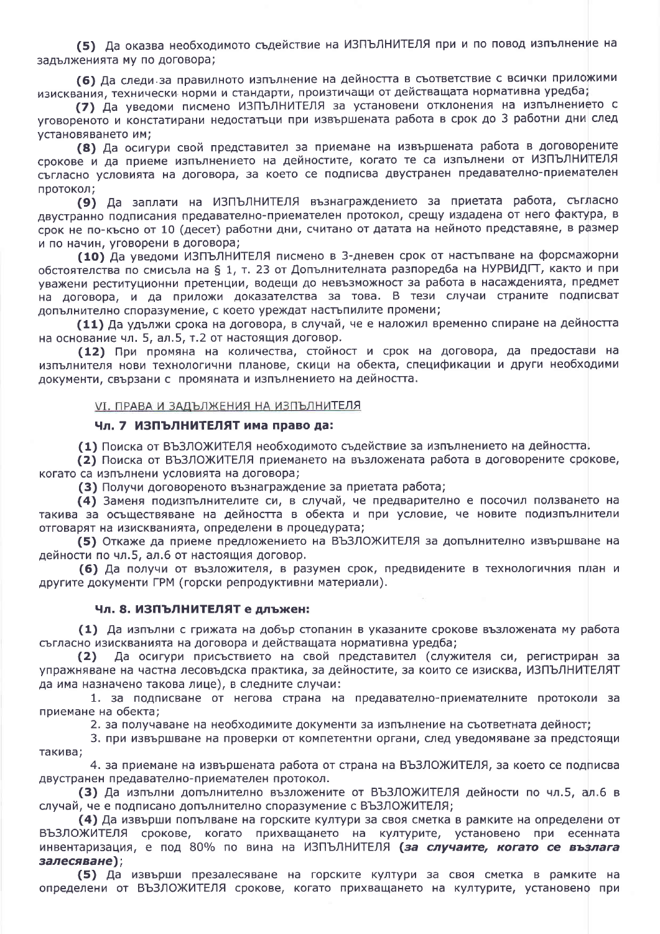(5) Да оказва необходимото съдействие на ИЗПЪЛНИТЕЛЯ при и по повод изпълнение на задълженията му по договора;

(6) Да следи за правилното изпълнение на дейността в съответствие с всички приложими изисквания, технически норми и стандарти, произтичащи от действащата нормативна уредба;

(7) Да уведоми писмено ИЗПЪЛНИТЕЛЯ за установени отклонения на изпълнението с уговореното и констатирани недостатъци при извършената работа в срок до 3 работни дни след установяването им;

(8) Да осигури свой представител за приемане на извършената работа в договорените срокове и да приеме изпълнението на дейностите, когато те са изпълнени от ИЗПЪЛНИТЕЛЯ съгласно условията на договора, за което се подписва двустранен предавателно-приемателен протокол;

(9) Да заплати на ИЗПЪЛНИТЕЛЯ възнаграждението за приетата работа, съгласно двустранно подписания предавателно-приемателен протокол, срещу издадена от него фактура, в срок не по-късно от 10 (десет) работни дни, считано от датата на нейното представяне, в размер и по начин, уговорени в договора;

(10) Да уведоми ИЗПЪЛНИТЕЛЯ писмено в 3-дневен срок от настъпване на форсмажорни обстоятелства по смисъла на § 1, т. 23 от Допълнителната разпоредба на НУРВИДГТ, както и при уважени реституционни претенции, водещи до невъзможност за работа в насажденията, предмет на договора, и да приложи доказателства за това. В тези случаи страните подписват допълнително споразумение, с което уреждат настъпилите промени;

(11) Да удължи срока на договора, в случай, че е наложил временно спиране на дейността на основание чл. 5, ал.5, т.2 от настоящия договор.

(12) При промяна на количества, стойност и срок на договора, да предостави на изпълнителя нови технологични планове, скици на обекта, спецификации и други необходими документи, свързани с промяната и изпълнението на дейността.

#### **VI. ПРАВА И ЗАДЪЛЖЕНИЯ НА ИЗПЪЛНИТЕЛЯ**

#### Чл. 7 ИЗПЪЛНИТЕЛЯТ има право да:

(1) Поиска от ВЪЗЛОЖИТЕЛЯ необходимото съдействие за изпълнението на дейността.

(2) Поиска от ВЪЗЛОЖИТЕЛЯ приемането на възложената работа в договорените срокове, когато са изпълнени условията на договора;

(3) Получи договореното възнаграждение за приетата работа;

(4) Заменя подизпълнителите си, в случай, че предварително е посочил ползването на такива за осъществяване на дейността в обекта и при условие, че новите подизпълнители отговарят на изискванията, определени в процедурата;

(5) Откаже да приеме предложението на ВЪЗЛОЖИТЕЛЯ за допълнително извършване на дейности по чл.5, ал.6 от настоящия договор.

(6) Да получи от възложителя, в разумен срок, предвидените в технологичния план и другите документи ГРМ (горски репродуктивни материали).

#### Чл. 8. ИЗПЪЛНИТЕЛЯТ е длъжен:

(1) Да изпълни с грижата на добър стопанин в указаните срокове възложената му работа съгласно изискванията на договора и действащата нормативна уредба;

 $(2)$ Да осигури присъствието на свой представител (служителя си, регистриран за упражняване на частна лесовъдска практика, за дейностите, за които се изисква, ИЗПЪЛНИТЕЛЯТ да има назначено такова лице), в следните случаи:

1. за подписване от негова страна на предавателно-приемателните протоколи за приемане на обекта:

2. за получаване на необходимите документи за изпълнение на съответната дейност;

3. при извършване на проверки от компетентни органи, след уведомяване за предстоящи такива:

4. за приемане на извършената работа от страна на ВЪЗЛОЖИТЕЛЯ, за което се подписва двустранен предавателно-приемателен протокол.

(3) Да изпълни допълнително възложените от ВЪЗЛОЖИТЕЛЯ дейности по чл.5, ал.6 в случай, че е подписано допълнително споразумение с ВЪЗЛОЖИТЕЛЯ;

(4) Да извърши попълване на горските култури за своя сметка в рамките на определени от ВЪЗЛОЖИТЕЛЯ срокове, когато прихващането на културите, установено при есенната инвентаризация, е под 80% по вина на ИЗПЪЛНИТЕЛЯ (за случаите, когато се възлага залесяване);

(5) Да извърши презалесяване на горските култури за своя сметка в рамките на определени от ВЪЗЛОЖИТЕЛЯ срокове, когато прихващането на културите, установено при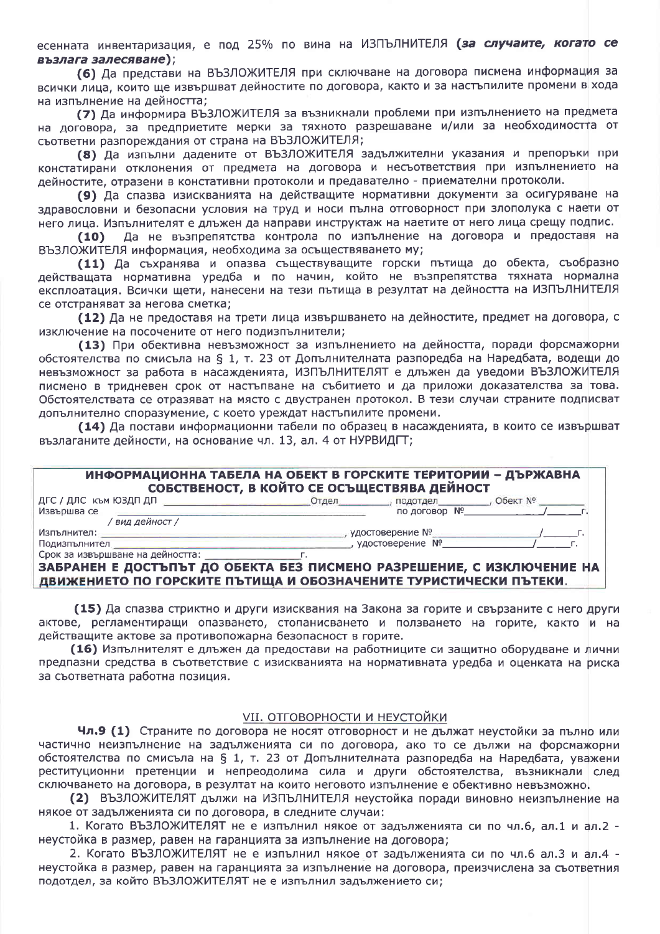есенната инвентаризация, е под 25% по вина на ИЗПЪЛНИТЕЛЯ (за случаите, когато се възлага залесяване);

(6) Да представи на ВЪЗЛОЖИТЕЛЯ при сключване на договора писмена информация за всички лица, които ще извършват дейностите по договора, както и за настъпилите промени в хода на изпълнение на дейността:

(7) Да информира ВЪЗЛОЖИТЕЛЯ за възникнали проблеми при изпълнението на предмета на договора, за предприетите мерки за тяхното разрешаване и/или за необходимостта от съответни разпореждания от страна на ВЪЗЛОЖИТЕЛЯ;

(8) Да изпълни дадените от ВЪЗЛОЖИТЕЛЯ задължителни указания и препоръки при констатирани отклонения от предмета на договора и несъответствия при изпълнението на дейностите, отразени в констативни протоколи и предавателно - приемателни протоколи.

(9) Да спазва изискванията на действащите нормативни документи за осигуряване на здравословни и безопасни условия на труд и носи пълна отговорност при злополука с наети от него лица. Изпълнителят е длъжен да направи инструктаж на наетите от него лица срещу подпис.

Да не възпрепятства контрола по изпълнение на договора и предоставя на  $(10)$ ВЪЗЛОЖИТЕЛЯ информация, необходима за осъществяването му;

(11) Да съхранява и опазва съществуващите горски пътища до обекта, съобразно действащата нормативна уредба и по начин, който не възпрепятства тяхната нормална експлоатация. Всички щети, нанесени на тези пътища в резултат на дейността на ИЗПЪЛНИТЕЛЯ се отстраняват за негова сметка;

(12) Да не предоставя на трети лица извършването на дейностите, предмет на договора, с изключение на посочените от него подизпълнители;

(13) При обективна невъзможност за изпълнението на дейността, поради форсмажорни обстоятелства по смисъла на § 1, т. 23 от Допълнителната разпоредба на Наредбата, водещи до невъзможност за работа в насажденията, ИЗПЪЛНИТЕЛЯТ е длъжен да уведоми ВЪЗЛОЖИТЕЛЯ писмено в тридневен срок от настъпване на събитието и да приложи доказателства за това. Обстоятелствата се отразяват на място с двустранен протокол. В тези случаи страните подписват допълнително споразумение, с което уреждат настъпилите промени.

(14) Да постави информационни табели по образец в насажденията, в които се извършват възлаганите дейности, на основание чл. 13, ал. 4 от НУРВИДГТ;

| ИНФОРМАЦИОННА ТАБЕЛА НА ОБЕКТ В ГОРСКИТЕ ТЕРИТОРИИ - ДЪРЖАВНА<br>СОБСТВЕНОСТ, В КОЙТО СЕ ОСЪЩЕСТВЯВА ДЕЙНОСТ |       |                               |  |
|--------------------------------------------------------------------------------------------------------------|-------|-------------------------------|--|
| ДГС / ДЛС към ЮЗДП ДП ДО СОЮЗ СО СОЮЗ СОЮЗ СОО                                                               | Отдел | _, подотдел_________, Обект № |  |
| Извършва се                                                                                                  |       | по договор Nº                 |  |
| ' вид дейност /                                                                                              |       |                               |  |
| Изпълнител: -                                                                                                |       | , удостоверение №             |  |
| Подизпълнител                                                                                                |       | , удостоверение Nº            |  |
| Срок за извършване на дейността:                                                                             |       |                               |  |
| ЗАБРАНЕН Е ДОСТЪПЪТ ДО ОБЕКТА БЕЗ ПИСМЕНО РАЗРЕШЕНИЕ, С ИЗКЛЮЧЕНИЕ НА                                        |       |                               |  |

ДВИЖЕНИЕТО ПО ГОРСКИТЕ ПЪТИЩА И ОБОЗНАЧЕНИТЕ ТУРИСТИЧЕСКИ ПЪТЕКИ.

(15) Да спазва стриктно и други изисквания на Закона за горите и свързаните с него други актове, регламентиращи опазването, стопанисването и ползването на горите, както и на действащите актове за противопожарна безопасност в горите.

(16) Изпълнителят е длъжен да предостави на работниците си защитно оборудване и лични предпазни средства в съответствие с изискванията на нормативната уредба и оценката на риска за съответната работна позиция.

#### **VII. ОТГОВОРНОСТИ И НЕУСТОЙКИ**

Чл.9 (1) Страните по договора не носят отговорност и не дължат неустойки за пълно или частично неизпълнение на задълженията си по договора, ако то се дължи на форсмажорни обстоятелства по смисъла на § 1, т. 23 от Допълнителната разпоредба на Наредбата, уважени реституционни претенции и непреодолима сила и други обстоятелства, възникнали след сключването на договора, в резултат на които неговото изпълнение е обективно невъзможно.

(2) ВЪЗЛОЖИТЕЛЯТ дължи на ИЗПЪЛНИТЕЛЯ неустойка поради виновно неизпълнение на някое от задълженията си по договора, в следните случаи:

1. Когато ВЪЗЛОЖИТЕЛЯТ не е изпълнил някое от задълженията си по чл.6, ал.1 и ал.2 неустойка в размер, равен на гаранцията за изпълнение на договора;

2. Когато ВЪЗЛОЖИТЕЛЯТ не е изпълнил някое от задълженията си по чл.6 ал.3 и ал.4 неустойка в размер, равен на гаранцията за изпълнение на договора, преизчислена за съответния подотдел, за който ВЪЗЛОЖИТЕЛЯТ не е изпълнил задължението си;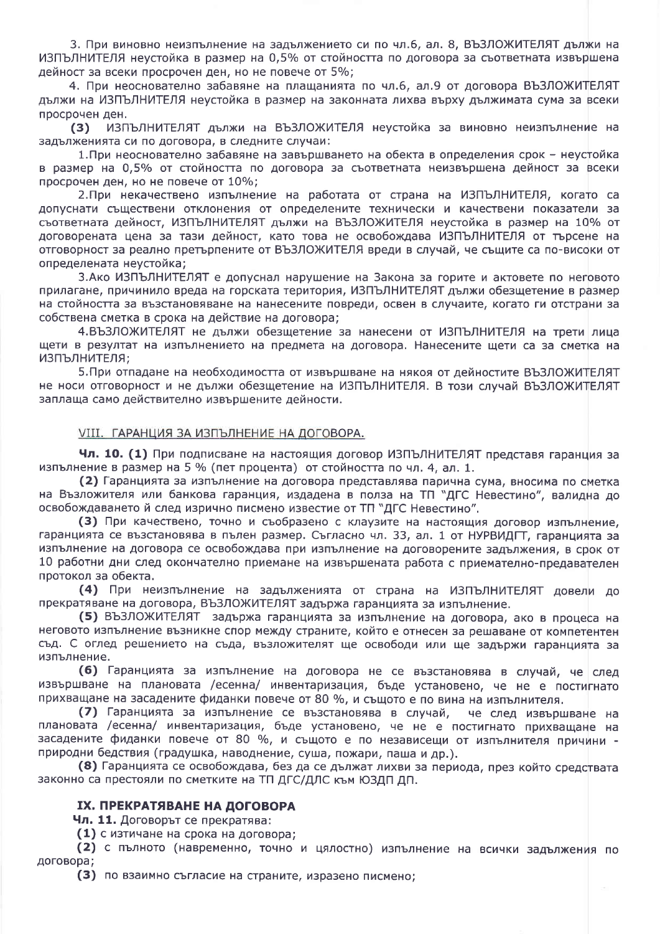3. При виновно неизпълнение на задължението си по чл.6, ал. 8, ВЪЗЛОЖИТЕЛЯТ дължи на ИЗПЪЛНИТЕЛЯ неустойка в размер на 0,5% от стойността по договора за съответната извършена дейност за всеки просрочен ден, но не повече от 5%;

4. При неоснователно забавяне на плащанията по чл.6, ал.9 от договора ВЪЗЛОЖИТЕЛЯТ дължи на ИЗПЪЛНИТЕЛЯ неустойка в размер на законната лихва върху дължимата сума за всеки просрочен ден.

ИЗПЪЛНИТЕЛЯТ дължи на ВЪЗЛОЖИТЕЛЯ неустойка за виновно неизпълнение на  $(3)$ задълженията си по договора, в следните случаи:

1. При неоснователно забавяне на завършването на обекта в определения срок - неустойка в размер на 0,5% от стойността по договора за съответната неизвършена дейност за всеки просрочен ден, но не повече от 10%;

2. При некачествено изпълнение на работата от страна на ИЗПЪЛНИТЕЛЯ, когато са допуснати съществени отклонения от определените технически и качествени показатели за съответната дейност, ИЗПЪЛНИТЕЛЯТ дължи на ВЪЗЛОЖИТЕЛЯ неустойка в размер на 10% от договорената цена за тази дейност, като това не освобождава ИЗПЪЛНИТЕЛЯ от търсене на отговорност за реално претърпените от ВЪЗЛОЖИТЕЛЯ вреди в случай, че същите са по-високи от определената неустойка;

3. Ако ИЗПЪЛНИТЕЛЯТ е допуснал нарушение на Закона за горите и актовете по неговото прилагане, причинило вреда на горската територия, ИЗПЪЛНИТЕЛЯТ дължи обезщетение в размер на стойността за възстановяване на нанесените повреди, освен в случаите, когато ги отстрани за собствена сметка в срока на действие на договора;

4.ВЪЗЛОЖИТЕЛЯТ не дължи обезщетение за нанесени от ИЗПЪЛНИТЕЛЯ на трети лица щети в резултат на изпълнението на предмета на договора. Нанесените щети са за сметка на ИЗПЪЛНИТЕЛЯ;

5. При отпадане на необходимостта от извършване на някоя от дейностите ВЪЗЛОЖИТЕЛЯТ не носи отговорност и не дължи обезщетение на ИЗПЪЛНИТЕЛЯ. В този случай ВЪЗЛОЖИТЕЛЯТ заплаща само действително извършените дейности.

#### **VIII. ГАРАНЦИЯ ЗА ИЗПЪЛНЕНИЕ НА ДОГОВОРА.**

Чл. 10. (1) При подписване на настоящия договор ИЗПЪЛНИТЕЛЯТ представя гаранция за изпълнение в размер на 5 % (пет процента) от стойността по чл. 4, ал. 1.

(2) Гаранцията за изпълнение на договора представлява парична сума, вносима по сметка на Възложителя или банкова гаранция, издадена в полза на ТП "ДГС Невестино", валидна до освобождаването й след изрично писмено известие от ТП "ДГС Невестино".

(3) При качествено, точно и съобразено с клаузите на настоящия договор изпълнение, гаранцията се възстановява в пълен размер. Съгласно чл. 33, ал. 1 от НУРВИДГТ, гаранцията за изпълнение на договора се освобождава при изпълнение на договорените задължения, в срок от 10 работни дни след окончателно приемане на извършената работа с приемателно-предавателен протокол за обекта.

(4) При неизпълнение на задълженията от страна на ИЗПЪЛНИТЕЛЯТ довели до прекратяване на договора, ВЪЗЛОЖИТЕЛЯТ задържа гаранцията за изпълнение.

(5) ВЪЗЛОЖИТЕЛЯТ задържа гаранцията за изпълнение на договора, ако в процеса на неговото изпълнение възникне спор между страните, който е отнесен за решаване от компетентен съд. С оглед решението на съда, възложителят ще освободи или ще задържи гаранцията за изпълнение.

(6) Гаранцията за изпълнение на договора не се възстановява в случай, че след извършване на плановата /есенна/ инвентаризация, бъде установено, че не е постигнато прихващане на засадените фиданки повече от 80 %, и същото е по вина на изпълнителя.

(7) Гаранцията за изпълнение се възстановява в случай, че след извършване на плановата /есенна/ инвентаризация, бъде установено, че не е постигнато прихващане на засадените фиданки повече от 80 %, и същото е по независещи от изпълнителя причини природни бедствия (градушка, наводнение, суша, пожари, паша и др.).

(8) Гаранцията се освобождава, без да се дължат лихви за периода, през който средствата законно са престояли по сметките на ТП ДГС/ДЛС към ЮЗДП ДП.

#### **IX. ПРЕКРАТЯВАНЕ НА ДОГОВОРА**

Чл. 11. Договорът се прекратява:

(1) с изтичане на срока на договора;

(2) с пълното (навременно, точно и цялостно) изпълнение на всички задължения по договора;

(3) по взаимно съгласие на страните, изразено писмено;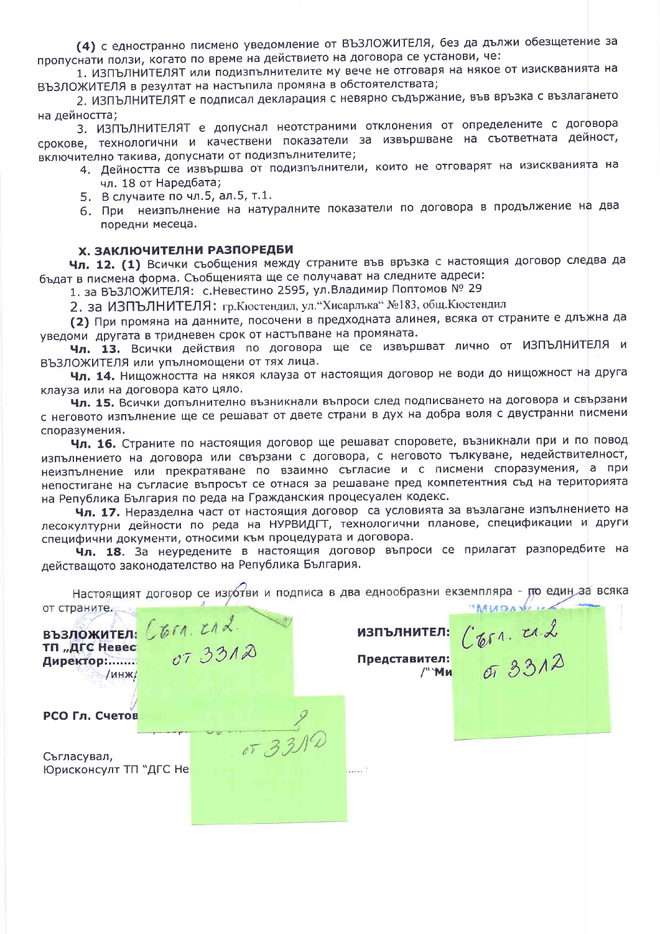(4) с едностранно писмено уведомление от ВЪЗЛОЖИТЕЛЯ, без да дължи обезщетение за пропуснати ползи, когато по време на действието на договора се установи, че:

1. ИЗПЪЛНИТЕЛЯТ или подизпълнителите му вече не отговаря на някое от изискванията на ВЪЗЛОЖИТЕЛЯ в резултат на настъпила промяна в обстоятелствата;

2. ИЗПЪЛНИТЕЛЯТ е подписал декларация с невярно съдържание, във връзка с възлагането на дейността;

3. ИЗПЪЛНИТЕЛЯТ е допуснал неотстраними отклонения от определените с договора срокове, технологични и качествени показатели за извършване на съответната дейност, включително такива, допуснати от подизпълнителите:

- 4. Дейността се извършва от подизпълнители, които не отговарят на изискванията на чл. 18 от Наредбата:
	- 5. В случаите по чл.5, ал.5, т.1.
- 6. При неизпълнение на натуралните показатели по договора в продължение на два поредни месеца.

#### Х. ЗАКЛЮЧИТЕЛНИ РАЗПОРЕДБИ

Чл. 12. (1) Всички съобщения между страните във връзка с настоящия договор следва да бъдат в писмена форма. Съобщенията ще се получават на следните адреси:

1. за ВЪЗЛОЖИТЕЛЯ: с.Невестино 2595, ул.Владимир Поптомов № 29

2. за ИЗПЪЛНИТЕЛЯ: гр. Кюстендил, ул. "Хисарлъка" №183, общ. Кюстендил

(2) При промяна на данните, посочени в предходната алинея, всяка от страните е длъжна да уведоми другата в тридневен срок от настъпване на промяната.

Чл. 13. Всички действия по договора ще се извършват лично от ИЗПЪЛНИТЕЛЯ и ВЪЗЛОЖИТЕЛЯ или упълномощени от тях лица.

Чл. 14. Нищожността на някоя клауза от настоящия договор не води до нищожност на друга клауза или на договора като цяло.

Чл. 15. Всички допълнително възникнали въпроси след подписването на договора и свързани с неговото изпълнение ще се решават от двете страни в дух на добра воля с двустранни писмени споразумения.

Чл. 16. Страните по настоящия договор ще решават споровете, възникнали при и по повод изпълнението на договора или свързани с договора, с неговото тълкуване, недействителност, неизпълнение или прекратяване по взаимно съгласие и с писмени споразумения, а при непостигане на съгласие въпросът се отнася за решаване пред компетентния съд на територията на Република България по реда на Гражданския процесуален кодекс.

Чл. 17. Неразделна част от настоящия договор са условията за възлагане изпълнението на лесокултурни дейности по реда на НУРВИДГТ, технологични планове, спецификации и други специфични документи, относими към процедурата и договора.

Чл. 18. За неуредените в настоящия договор въпроси се прилагат разпоредбите на действащото законодателство на Република България.

от страните. MUGAVILL **B**B3ложител:  $C611. 212$ <br>TП "ДГС Невес  $C7.3312$ THE CONTINUES.<br>
The CONTROL CONTROL CONDITION /инж/ РСО Гл. Счетов  $6T$  33 Съгласувал, **Юрисконсулт ТП "ДГС Не** . . . . . .

Настоящият договор се изротви и подписа в два еднообразни екземпляра - по един за всяка